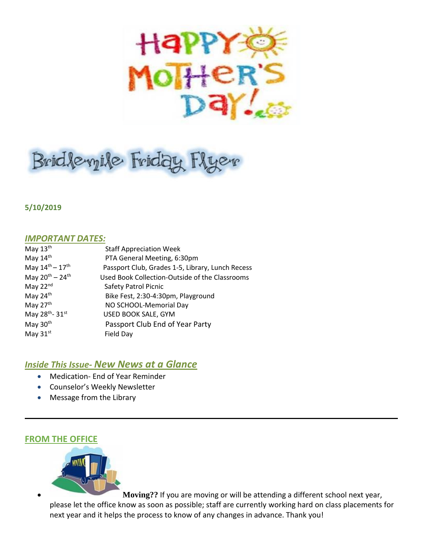

# Bridlevyile Friday Flyer

**5/10/2019**

## *IMPORTANT DATES:*

| May $13th$                            | <b>Staff Appreciation Week</b>                   |
|---------------------------------------|--------------------------------------------------|
| May 14th                              | PTA General Meeting, 6:30pm                      |
| May $14^{\text{th}} - 17^{\text{th}}$ | Passport Club, Grades 1-5, Library, Lunch Recess |
| May $20^{th} - 24^{th}$               | Used Book Collection-Outside of the Classrooms   |
| May 22nd                              | Safety Patrol Picnic                             |
| May 24th                              | Bike Fest, 2:30-4:30pm, Playground               |
| May 27 <sup>th</sup>                  | NO SCHOOL-Memorial Day                           |
| May 28 <sup>th</sup> - 31st           | USED BOOK SALE, GYM                              |
| May 30 <sup>th</sup>                  | Passport Club End of Year Party                  |
| May 31st                              | Field Day                                        |

# *Inside This Issue- New News at a Glance*

- Medication- End of Year Reminder
- Counselor's Weekly Newsletter
- Message from the Library

# **FROM THE OFFICE**



 **Moving??** If you are moving or will be attending a different school next year, please let the office know as soon as possible; staff are currently working hard on class placements for next year and it helps the process to know of any changes in advance. Thank you!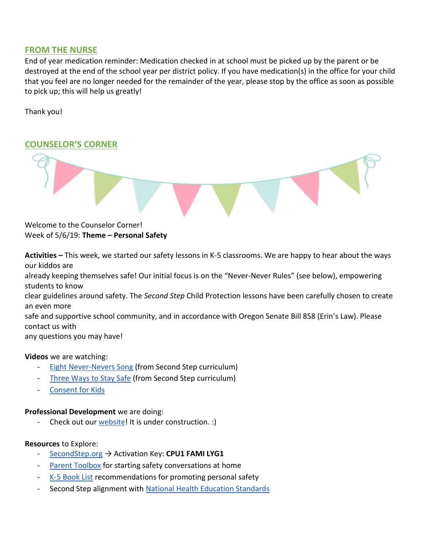## **FROM THE NURSE**

End of year medication reminder: Medication checked in at school must be picked up by the parent or be destroyed at the end of the school year per district policy. If you have medication(s) in the office for your child that you feel are no longer needed for the remainder of the year, please stop by the office as soon as possible to pick up; this will help us greatly!

Thank you!

# **COUNSELOR'S CORNER**



Welcome to the Counselor Corner! Week of 5/6/19: **Theme – Personal Safety**

**Activities –** This week, we started our safety lessons in K-5 classrooms. We are happy to hear about the ways our kiddos are already keeping themselves safe! Our initial focus is on the "Never-Never Rules" (see below), empowering students to know clear guidelines around safety. The *Second Step* Child Protection lessons have been carefully chosen to create an even more safe and supportive school community, and in accordance with Oregon Senate Bill 858 (Erin's Law). Please contact us with any questions you may have!

#### **Videos** we are watching:

- [Eight Never-Nevers Song](https://youtu.be/x-dsAqJ3Ln4) (from Second Step curriculum)
- [Three Ways to Stay Safe](https://youtu.be/c8CcVStRnhc) (from Second Step curriculum)
- [Consent for Kids](https://youtu.be/h3nhM9UlJjc)

#### **Professional Development** we are doing:

Check out our [website!](https://sites.google.com/apps4pps.net/bridlemile-counselor-corner/home?authuser=0) It is under construction. :)

#### **Resources** to Explore:

- [SecondStep.org](https://www.secondstep.org/child-protection) → Activation Key: **CPU1 FAMI LYG1**
- [Parent Toolbox](https://www.earlyopenoften.org/) for starting safety conversations at home
- [K-5 Book List](https://assets.ctfassets.net/98bcvzcrxclo/2U3QohEn2MQksQMeyKaQkM/a9ae360701acd76ced10ffeb8da47c6b/cpu-recommended-books-k-3.pdf) recommendations for promoting personal safety
- Second Step alignment with [National Health Education Standards](https://assets.ctfassets.net/98bcvzcrxclo/krZctrnfVugq6ag6KQYuc/aa14ee13fc633fd47cba0ce2d9446710/k-5-cdc-national-health-education-standards-cpu.pdf)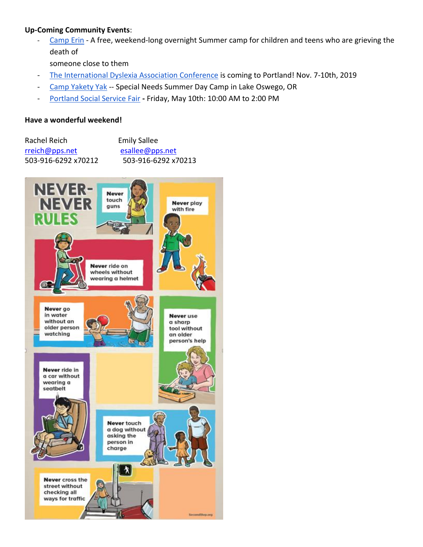### **Up-Coming Community Events**:

[Camp Erin](https://oregon.providence.org/our-services/c/camp-erin/) - A free, weekend-long overnight Summer camp for children and teens who are grieving the death of

someone close to them

- [The International Dyslexia Association Conference](https://www.eiseverywhere.com/website/887/home/) is coming to Portland! Nov. 7-10th, 2019
- [Camp Yakety Yak](http://www.campyaketyyak.org/) -- Special Needs Summer Day Camp in Lake Oswego, OR
- [Portland Social Service Fair](https://www.csnpdx.org/social-service-fairs/dates) **-** Friday, May 10th: 10:00 AM to 2:00 PM

#### **Have a wonderful weekend!**

| Rachel Reich        | <b>Emily Sallee</b> |
|---------------------|---------------------|
| rreich@pps.net      | esallee@pps.net     |
| 503-916-6292 x70212 | 503-916-6292 x70213 |

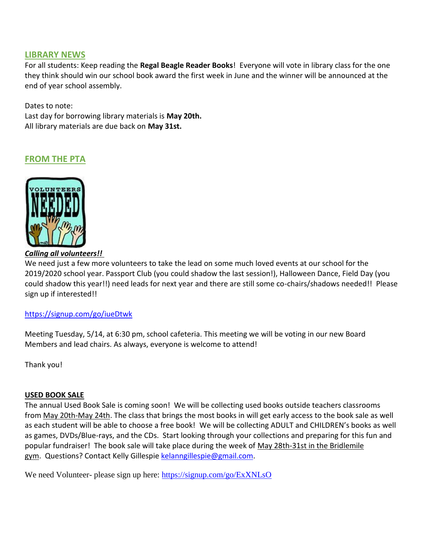### **LIBRARY NEWS**

For all students: Keep reading the **Regal Beagle Reader Books**! Everyone will vote in library class for the one they think should win our school book award the first week in June and the winner will be announced at the end of year school assembly.

Dates to note: Last day for borrowing library materials is **May 20th.** All library materials are due back on **May 31st.**

# **FROM THE PTA**



*Calling all volunteers!!*

We need just a few more volunteers to take the lead on some much loved events at our school for the 2019/2020 school year. Passport Club (you could shadow the last session!), Halloween Dance, Field Day (you could shadow this year!!) need leads for next year and there are still some co-chairs/shadows needed!! Please sign up if interested!!

#### <https://signup.com/go/iueDtwk>

Meeting Tuesday, 5/14, at 6:30 pm, school cafeteria. This meeting we will be voting in our new Board Members and lead chairs. As always, everyone is welcome to attend!

Thank you!

#### **USED BOOK SALE**

The annual Used Book Sale is coming soon! We will be collecting used books outside teachers classrooms from May 20th-May 24th. The class that brings the most books in will get early access to the book sale as well as each student will be able to choose a free book! We will be collecting ADULT and CHILDREN's books as well as games, DVDs/Blue-rays, and the CDs. Start looking through your collections and preparing for this fun and popular fundraiser! The book sale will take place during the week of May 28th-31st in the Bridlemile gym. Questions? Contact Kelly Gillespie [kelanngillespie@gmail.com.](mailto:kelanngillespie@gmail.com)

We need Volunteer- please sign up here:<https://signup.com/go/ExXNLsO>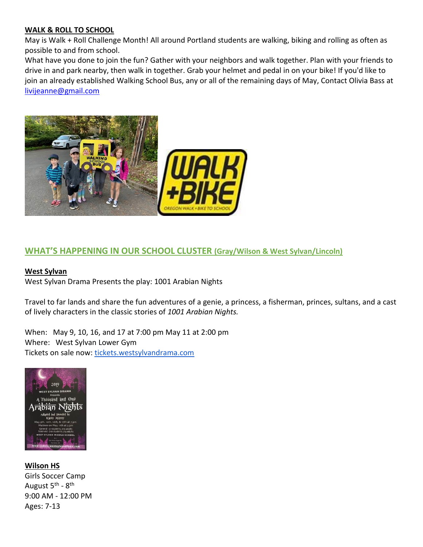#### **WALK & ROLL TO SCHOOL**

May is Walk + Roll Challenge Month! All around Portland students are walking, biking and rolling as often as possible to and from school.

What have you done to join the fun? Gather with your neighbors and walk together. Plan with your friends to drive in and park nearby, then walk in together. Grab your helmet and pedal in on your bike! If you'd like to join an already established Walking School Bus, any or all of the remaining days of May, Contact Olivia Bass at [livijeanne@gmail.com](mailto:livijeanne@gmail.com)



# **WHAT'S HAPPENING IN OUR SCHOOL CLUSTER (Gray/Wilson & West Sylvan/Lincoln)**

#### **West Sylvan**

West Sylvan Drama Presents the play: 1001 Arabian Nights

Travel to far lands and share the fun adventures of a genie, a princess, a fisherman, princes, sultans, and a cast of lively characters in the classic stories of *1001 Arabian Nights.*

When: May 9, 10, 16, and 17 at 7:00 pm May 11 at 2:00 pm Where: West Sylvan Lower Gym Tickets on sale now: [tickets.westsylvandrama.com](http://track.spe.schoolmessenger.com/f/a/Qwdi4A1MEMB5yn1o752cEA~~/AAAAAQA~/RgReqGgpP0QjaHR0cDovL3RpY2tldHMud2VzdHN5bHZhbmRyYW1hLmNvbS9XB3NjaG9vbG1CCgAAqTTHXKOP1PxSGUNocmlzdGluYWNyb3VzZUBnbWFpbC5jb21YBAAAAAE~)



**Wilson HS**

Girls Soccer Camp August 5<sup>th</sup> - 8<sup>th</sup> 9:00 AM - 12:00 PM Ages: 7-13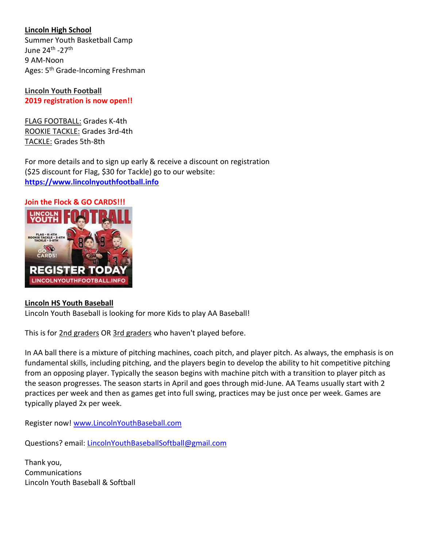## **Lincoln High School**

Summer Youth Basketball Camp June 24<sup>th</sup> -27<sup>th</sup> 9 AM-Noon Ages: 5<sup>th</sup> Grade-Incoming Freshman

**Lincoln Youth Football 2019 registration is now open!!**

FLAG FOOTBALL: Grades K-4th ROOKIE TACKLE: Grades 3rd-4th TACKLE: Grades 5th-8th

For more details and to sign up early & receive a discount on registration (\$25 discount for Flag, \$30 for Tackle) go to our website: **[https://www.lincolnyouthfootball.info](https://www.lincolnyouthfootball.info/registration-info)**

**Join the Flock & GO CARDS!!!**



#### **Lincoln HS Youth Baseball**

Lincoln Youth Baseball is looking for more Kids to play AA Baseball!

This is for 2nd graders OR 3rd graders who haven't played before.

In AA ball there is a mixture of pitching machines, coach pitch, and player pitch. As always, the emphasis is on fundamental skills, including pitching, and the players begin to develop the ability to hit competitive pitching from an opposing player. Typically the season begins with machine pitch with a transition to player pitch as the season progresses. The season starts in April and goes through mid-June. AA Teams usually start with 2 practices per week and then as games get into full swing, practices may be just once per week. Games are typically played 2x per week.

Register now! [www.LincolnYouthBaseball.com](http://www.lincolnyouthbaseball.com/)

Questions? email: [LincolnYouthBaseballSoftball@gmail.com](mailto:LincolnYouthBaseballSoftball@gmail.com)

Thank you, Communications Lincoln Youth Baseball & Softball